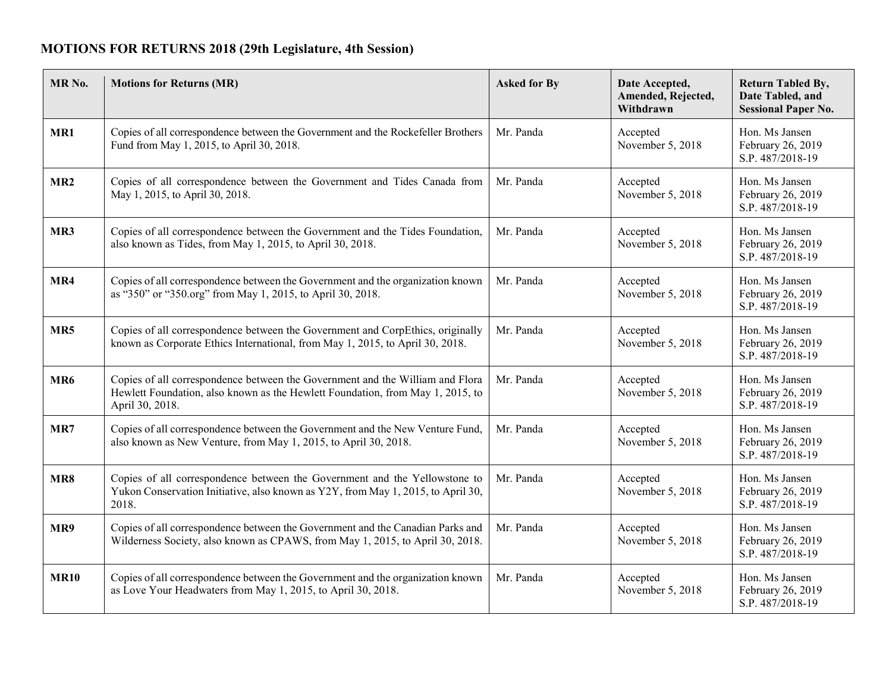## **MOTIONS FOR RETURNS 2018 (29th Legislature, 4th Session)**

| MR <sub>No.</sub> | <b>Motions for Returns (MR)</b>                                                                                                                                                    | <b>Asked for By</b> | Date Accepted,<br>Amended, Rejected,<br>Withdrawn | <b>Return Tabled By,</b><br>Date Tabled, and<br><b>Sessional Paper No.</b> |
|-------------------|------------------------------------------------------------------------------------------------------------------------------------------------------------------------------------|---------------------|---------------------------------------------------|----------------------------------------------------------------------------|
| MR1               | Copies of all correspondence between the Government and the Rockefeller Brothers<br>Fund from May 1, 2015, to April 30, 2018.                                                      | Mr. Panda           | Accepted<br>November 5, 2018                      | Hon. Ms Jansen<br>February 26, 2019<br>S.P. 487/2018-19                    |
| MR <sub>2</sub>   | Copies of all correspondence between the Government and Tides Canada from<br>May 1, 2015, to April 30, 2018.                                                                       | Mr. Panda           | Accepted<br>November 5, 2018                      | Hon. Ms Jansen<br>February 26, 2019<br>S.P. 487/2018-19                    |
| MR3               | Copies of all correspondence between the Government and the Tides Foundation,<br>also known as Tides, from May 1, 2015, to April 30, 2018.                                         | Mr. Panda           | Accepted<br>November 5, 2018                      | Hon. Ms Jansen<br>February 26, 2019<br>S.P. 487/2018-19                    |
| MR4               | Copies of all correspondence between the Government and the organization known<br>as "350" or "350.org" from May 1, 2015, to April 30, 2018.                                       | Mr. Panda           | Accepted<br>November 5, 2018                      | Hon. Ms Jansen<br>February 26, 2019<br>S.P. 487/2018-19                    |
| MR5               | Copies of all correspondence between the Government and CorpEthics, originally<br>known as Corporate Ethics International, from May 1, 2015, to April 30, 2018.                    | Mr. Panda           | Accepted<br>November 5, 2018                      | Hon. Ms Jansen<br>February 26, 2019<br>S.P. 487/2018-19                    |
| MR <sub>6</sub>   | Copies of all correspondence between the Government and the William and Flora<br>Hewlett Foundation, also known as the Hewlett Foundation, from May 1, 2015, to<br>April 30, 2018. | Mr. Panda           | Accepted<br>November 5, 2018                      | Hon. Ms Jansen<br>February 26, 2019<br>S.P. 487/2018-19                    |
| MR7               | Copies of all correspondence between the Government and the New Venture Fund,<br>also known as New Venture, from May 1, 2015, to April 30, 2018.                                   | Mr. Panda           | Accepted<br>November 5, 2018                      | Hon. Ms Jansen<br>February 26, 2019<br>S.P. 487/2018-19                    |
| MR8               | Copies of all correspondence between the Government and the Yellowstone to<br>Yukon Conservation Initiative, also known as Y2Y, from May 1, 2015, to April 30,<br>2018.            | Mr. Panda           | Accepted<br>November 5, 2018                      | Hon. Ms Jansen<br>February 26, 2019<br>S.P. 487/2018-19                    |
| MR9               | Copies of all correspondence between the Government and the Canadian Parks and<br>Wilderness Society, also known as CPAWS, from May 1, 2015, to April 30, 2018.                    | Mr. Panda           | Accepted<br>November 5, 2018                      | Hon. Ms Jansen<br>February 26, 2019<br>S.P. 487/2018-19                    |
| <b>MR10</b>       | Copies of all correspondence between the Government and the organization known<br>as Love Your Headwaters from May 1, 2015, to April 30, 2018.                                     | Mr. Panda           | Accepted<br>November 5, 2018                      | Hon. Ms Jansen<br>February 26, 2019<br>S.P. 487/2018-19                    |